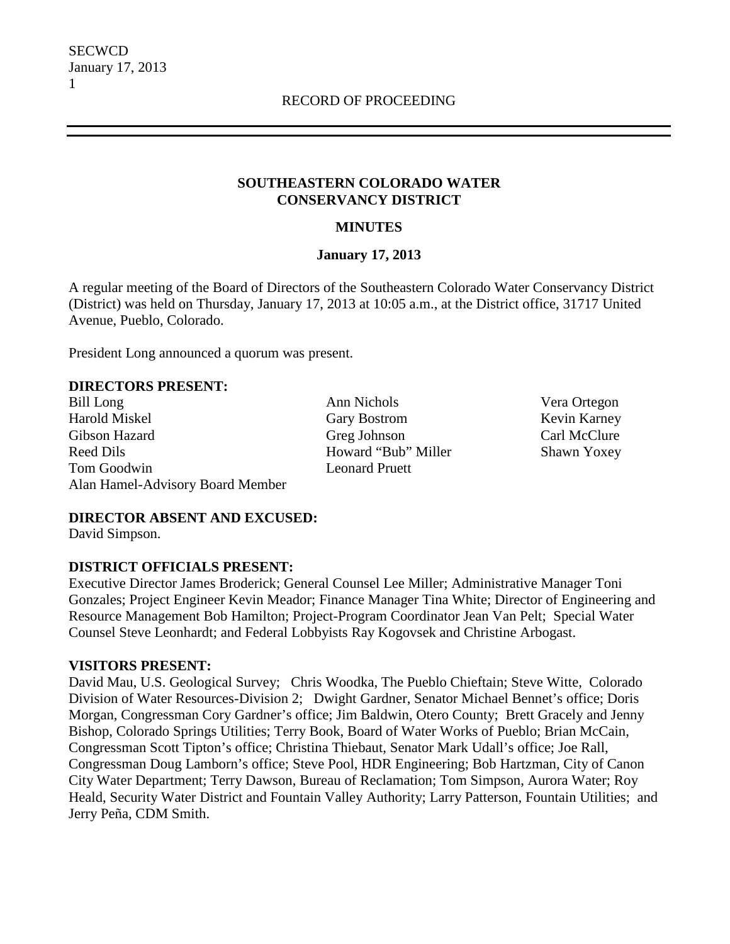#### **SOUTHEASTERN COLORADO WATER CONSERVANCY DISTRICT**

### **MINUTES**

#### **January 17, 2013**

A regular meeting of the Board of Directors of the Southeastern Colorado Water Conservancy District (District) was held on Thursday, January 17, 2013 at 10:05 a.m., at the District office, 31717 United Avenue, Pueblo, Colorado.

President Long announced a quorum was present.

#### **DIRECTORS PRESENT:**

Bill Long Ann Nichols Vera Ortegon Harold Miskel Gary Bostrom Kevin Karney Gibson Hazard Greg Johnson Carl McClure Reed Dils **Howard "Bub" Miller** Shawn Yoxey Tom Goodwin Leonard Pruett Alan Hamel-Advisory Board Member

#### **DIRECTOR ABSENT AND EXCUSED:**

David Simpson.

#### **DISTRICT OFFICIALS PRESENT:**

Executive Director James Broderick; General Counsel Lee Miller; Administrative Manager Toni Gonzales; Project Engineer Kevin Meador; Finance Manager Tina White; Director of Engineering and Resource Management Bob Hamilton; Project-Program Coordinator Jean Van Pelt; Special Water Counsel Steve Leonhardt; and Federal Lobbyists Ray Kogovsek and Christine Arbogast.

#### **VISITORS PRESENT:**

David Mau, U.S. Geological Survey; Chris Woodka, The Pueblo Chieftain; Steve Witte, Colorado Division of Water Resources-Division 2; Dwight Gardner, Senator Michael Bennet's office; Doris Morgan, Congressman Cory Gardner's office; Jim Baldwin, Otero County; Brett Gracely and Jenny Bishop, Colorado Springs Utilities; Terry Book, Board of Water Works of Pueblo; Brian McCain, Congressman Scott Tipton's office; Christina Thiebaut, Senator Mark Udall's office; Joe Rall, Congressman Doug Lamborn's office; Steve Pool, HDR Engineering; Bob Hartzman, City of Canon City Water Department; Terry Dawson, Bureau of Reclamation; Tom Simpson, Aurora Water; Roy Heald, Security Water District and Fountain Valley Authority; Larry Patterson, Fountain Utilities; and Jerry Peña, CDM Smith.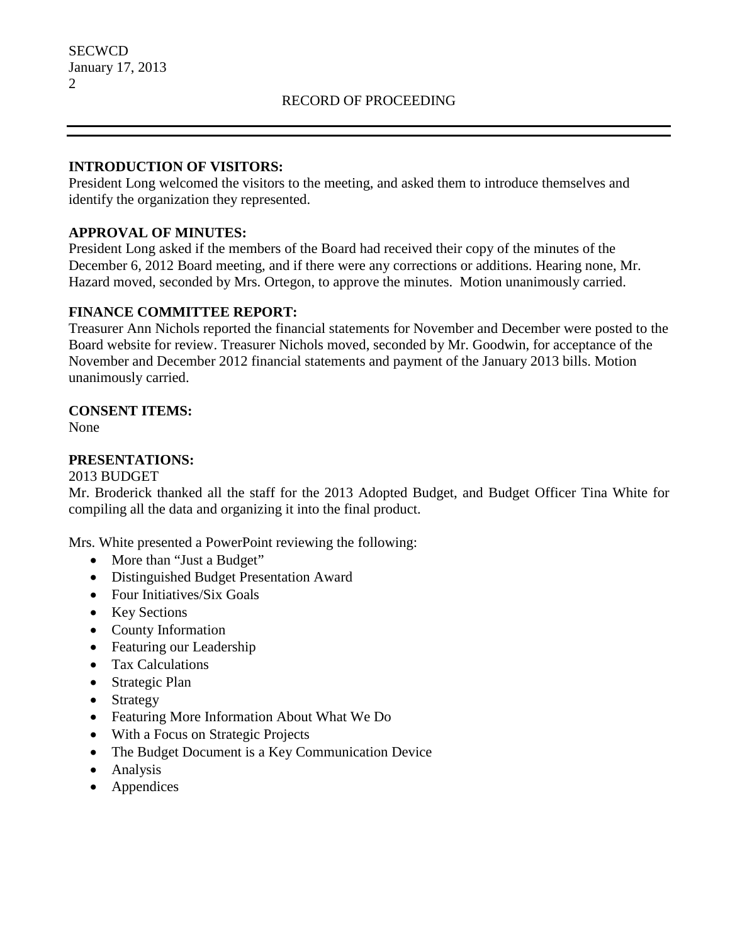#### **INTRODUCTION OF VISITORS:**

President Long welcomed the visitors to the meeting, and asked them to introduce themselves and identify the organization they represented.

#### **APPROVAL OF MINUTES:**

President Long asked if the members of the Board had received their copy of the minutes of the December 6, 2012 Board meeting, and if there were any corrections or additions. Hearing none, Mr. Hazard moved, seconded by Mrs. Ortegon, to approve the minutes. Motion unanimously carried.

#### **FINANCE COMMITTEE REPORT:**

Treasurer Ann Nichols reported the financial statements for November and December were posted to the Board website for review. Treasurer Nichols moved, seconded by Mr. Goodwin, for acceptance of the November and December 2012 financial statements and payment of the January 2013 bills. Motion unanimously carried.

#### **CONSENT ITEMS:**

None

#### **PRESENTATIONS:**

2013 BUDGET

Mr. Broderick thanked all the staff for the 2013 Adopted Budget, and Budget Officer Tina White for compiling all the data and organizing it into the final product.

Mrs. White presented a PowerPoint reviewing the following:

- More than "Just a Budget"
- Distinguished Budget Presentation Award
- Four Initiatives/Six Goals
- Key Sections
- County Information
- Featuring our Leadership
- Tax Calculations
- Strategic Plan
- Strategy
- Featuring More Information About What We Do
- With a Focus on Strategic Projects
- The Budget Document is a Key Communication Device
- Analysis
- Appendices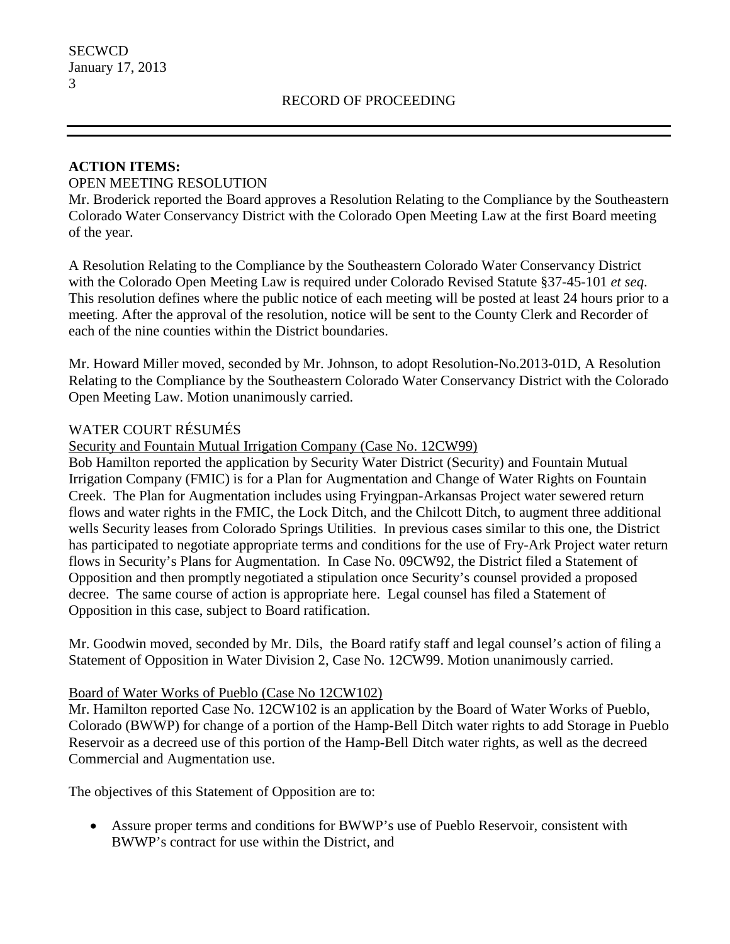# **ACTION ITEMS:**

# OPEN MEETING RESOLUTION

Mr. Broderick reported the Board approves a Resolution Relating to the Compliance by the Southeastern Colorado Water Conservancy District with the Colorado Open Meeting Law at the first Board meeting of the year.

A Resolution Relating to the Compliance by the Southeastern Colorado Water Conservancy District with the Colorado Open Meeting Law is required under Colorado Revised Statute §37-45-101 *et seq*. This resolution defines where the public notice of each meeting will be posted at least 24 hours prior to a meeting. After the approval of the resolution, notice will be sent to the County Clerk and Recorder of each of the nine counties within the District boundaries.

Mr. Howard Miller moved, seconded by Mr. Johnson, to adopt Resolution-No.2013-01D, A Resolution Relating to the Compliance by the Southeastern Colorado Water Conservancy District with the Colorado Open Meeting Law. Motion unanimously carried.

#### WATER COURT RÉSUMÉS

#### Security and Fountain Mutual Irrigation Company (Case No. 12CW99)

Bob Hamilton reported the application by Security Water District (Security) and Fountain Mutual Irrigation Company (FMIC) is for a Plan for Augmentation and Change of Water Rights on Fountain Creek. The Plan for Augmentation includes using Fryingpan-Arkansas Project water sewered return flows and water rights in the FMIC, the Lock Ditch, and the Chilcott Ditch, to augment three additional wells Security leases from Colorado Springs Utilities. In previous cases similar to this one, the District has participated to negotiate appropriate terms and conditions for the use of Fry-Ark Project water return flows in Security's Plans for Augmentation. In Case No. 09CW92, the District filed a Statement of Opposition and then promptly negotiated a stipulation once Security's counsel provided a proposed decree. The same course of action is appropriate here. Legal counsel has filed a Statement of Opposition in this case, subject to Board ratification.

Mr. Goodwin moved, seconded by Mr. Dils, the Board ratify staff and legal counsel's action of filing a Statement of Opposition in Water Division 2, Case No. 12CW99. Motion unanimously carried.

#### Board of Water Works of Pueblo (Case No 12CW102)

Mr. Hamilton reported Case No. 12CW102 is an application by the Board of Water Works of Pueblo, Colorado (BWWP) for change of a portion of the Hamp-Bell Ditch water rights to add Storage in Pueblo Reservoir as a decreed use of this portion of the Hamp-Bell Ditch water rights, as well as the decreed Commercial and Augmentation use.

The objectives of this Statement of Opposition are to:

• Assure proper terms and conditions for BWWP's use of Pueblo Reservoir, consistent with BWWP's contract for use within the District, and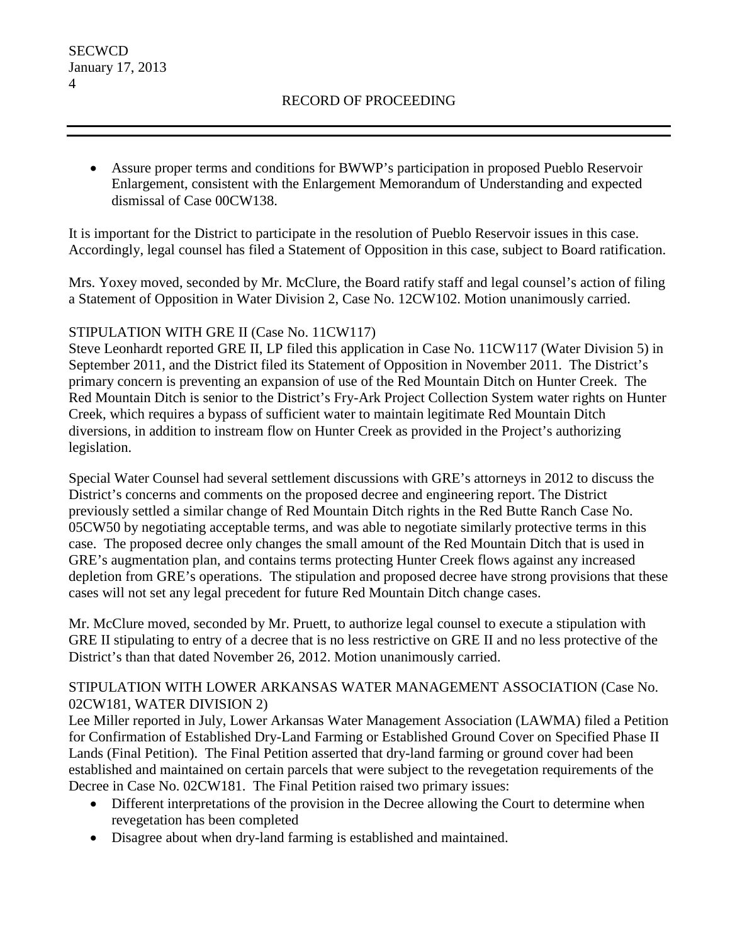• Assure proper terms and conditions for BWWP's participation in proposed Pueblo Reservoir Enlargement, consistent with the Enlargement Memorandum of Understanding and expected dismissal of Case 00CW138.

It is important for the District to participate in the resolution of Pueblo Reservoir issues in this case. Accordingly, legal counsel has filed a Statement of Opposition in this case, subject to Board ratification.

Mrs. Yoxey moved, seconded by Mr. McClure, the Board ratify staff and legal counsel's action of filing a Statement of Opposition in Water Division 2, Case No. 12CW102. Motion unanimously carried.

## STIPULATION WITH GRE II (Case No. 11CW117)

Steve Leonhardt reported GRE II, LP filed this application in Case No. 11CW117 (Water Division 5) in September 2011, and the District filed its Statement of Opposition in November 2011. The District's primary concern is preventing an expansion of use of the Red Mountain Ditch on Hunter Creek. The Red Mountain Ditch is senior to the District's Fry-Ark Project Collection System water rights on Hunter Creek, which requires a bypass of sufficient water to maintain legitimate Red Mountain Ditch diversions, in addition to instream flow on Hunter Creek as provided in the Project's authorizing legislation.

Special Water Counsel had several settlement discussions with GRE's attorneys in 2012 to discuss the District's concerns and comments on the proposed decree and engineering report. The District previously settled a similar change of Red Mountain Ditch rights in the Red Butte Ranch Case No. 05CW50 by negotiating acceptable terms, and was able to negotiate similarly protective terms in this case. The proposed decree only changes the small amount of the Red Mountain Ditch that is used in GRE's augmentation plan, and contains terms protecting Hunter Creek flows against any increased depletion from GRE's operations. The stipulation and proposed decree have strong provisions that these cases will not set any legal precedent for future Red Mountain Ditch change cases.

Mr. McClure moved, seconded by Mr. Pruett, to authorize legal counsel to execute a stipulation with GRE II stipulating to entry of a decree that is no less restrictive on GRE II and no less protective of the District's than that dated November 26, 2012. Motion unanimously carried.

## STIPULATION WITH LOWER ARKANSAS WATER MANAGEMENT ASSOCIATION (Case No. 02CW181, WATER DIVISION 2)

Lee Miller reported in July, Lower Arkansas Water Management Association (LAWMA) filed a Petition for Confirmation of Established Dry-Land Farming or Established Ground Cover on Specified Phase II Lands (Final Petition). The Final Petition asserted that dry-land farming or ground cover had been established and maintained on certain parcels that were subject to the revegetation requirements of the Decree in Case No. 02CW181. The Final Petition raised two primary issues:

- Different interpretations of the provision in the Decree allowing the Court to determine when revegetation has been completed
- Disagree about when dry-land farming is established and maintained.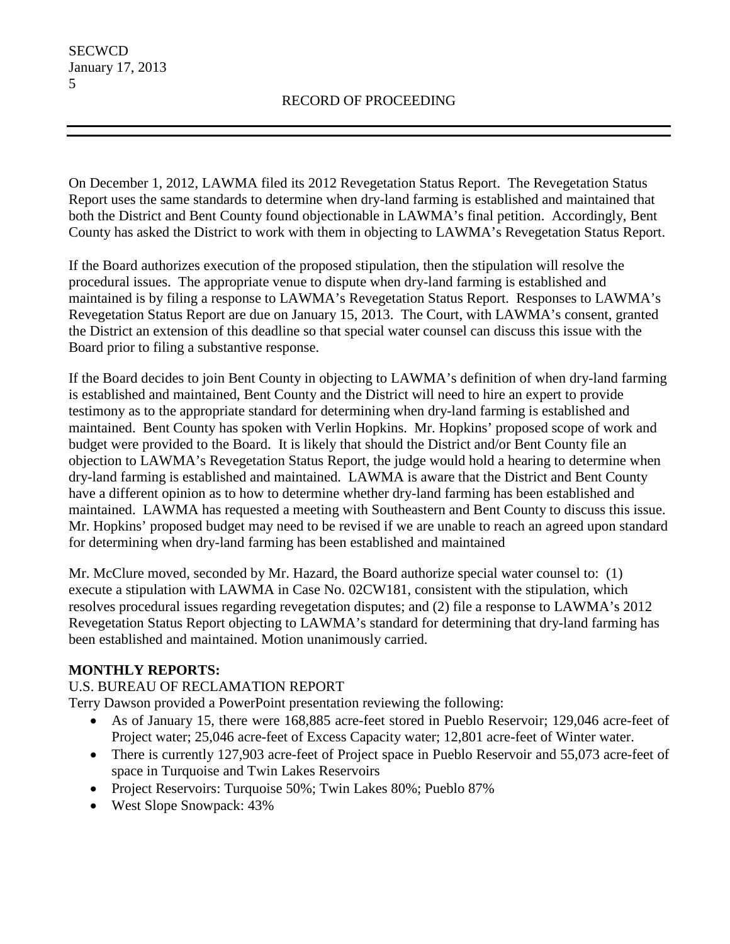On December 1, 2012, LAWMA filed its 2012 Revegetation Status Report. The Revegetation Status Report uses the same standards to determine when dry-land farming is established and maintained that both the District and Bent County found objectionable in LAWMA's final petition. Accordingly, Bent County has asked the District to work with them in objecting to LAWMA's Revegetation Status Report.

If the Board authorizes execution of the proposed stipulation, then the stipulation will resolve the procedural issues. The appropriate venue to dispute when dry-land farming is established and maintained is by filing a response to LAWMA's Revegetation Status Report. Responses to LAWMA's Revegetation Status Report are due on January 15, 2013. The Court, with LAWMA's consent, granted the District an extension of this deadline so that special water counsel can discuss this issue with the Board prior to filing a substantive response.

If the Board decides to join Bent County in objecting to LAWMA's definition of when dry-land farming is established and maintained, Bent County and the District will need to hire an expert to provide testimony as to the appropriate standard for determining when dry-land farming is established and maintained. Bent County has spoken with Verlin Hopkins. Mr. Hopkins' proposed scope of work and budget were provided to the Board. It is likely that should the District and/or Bent County file an objection to LAWMA's Revegetation Status Report, the judge would hold a hearing to determine when dry-land farming is established and maintained. LAWMA is aware that the District and Bent County have a different opinion as to how to determine whether dry-land farming has been established and maintained. LAWMA has requested a meeting with Southeastern and Bent County to discuss this issue. Mr. Hopkins' proposed budget may need to be revised if we are unable to reach an agreed upon standard for determining when dry-land farming has been established and maintained

Mr. McClure moved, seconded by Mr. Hazard, the Board authorize special water counsel to: (1) execute a stipulation with LAWMA in Case No. 02CW181, consistent with the stipulation, which resolves procedural issues regarding revegetation disputes; and (2) file a response to LAWMA's 2012 Revegetation Status Report objecting to LAWMA's standard for determining that dry-land farming has been established and maintained. Motion unanimously carried.

# **MONTHLY REPORTS:**

## U.S. BUREAU OF RECLAMATION REPORT

Terry Dawson provided a PowerPoint presentation reviewing the following:

- As of January 15, there were 168,885 acre-feet stored in Pueblo Reservoir; 129,046 acre-feet of Project water; 25,046 acre-feet of Excess Capacity water; 12,801 acre-feet of Winter water.
- There is currently 127,903 acre-feet of Project space in Pueblo Reservoir and 55,073 acre-feet of space in Turquoise and Twin Lakes Reservoirs
- Project Reservoirs: Turquoise 50%; Twin Lakes 80%; Pueblo 87%
- West Slope Snowpack: 43%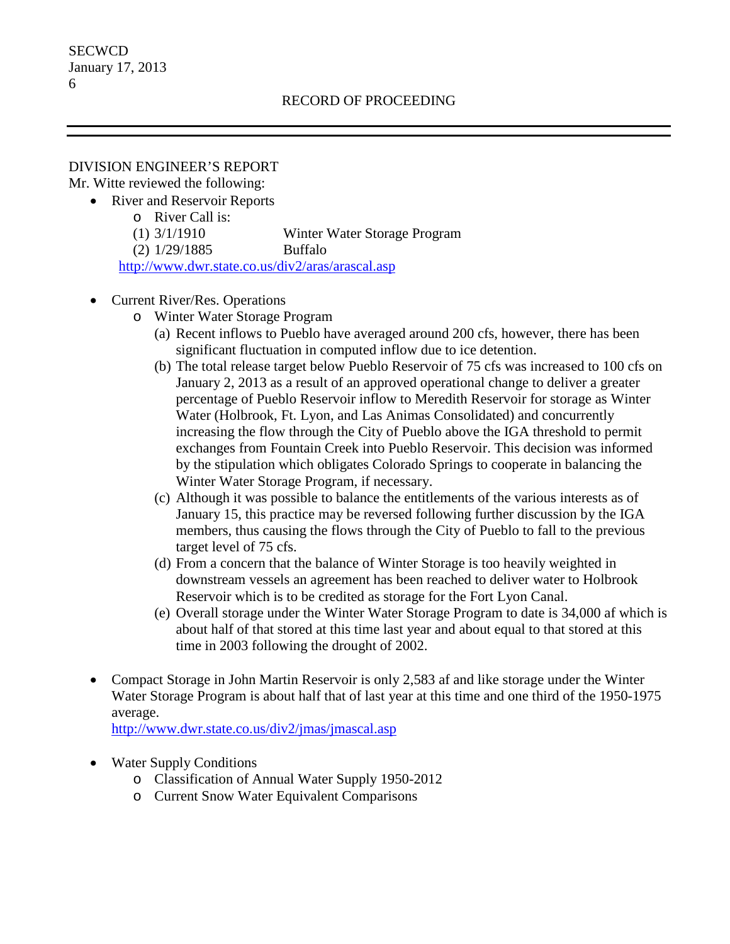#### DIVISION ENGINEER'S REPORT

Mr. Witte reviewed the following:

- River and Reservoir Reports
	- o River Call is:<br>(1)  $3/1/1910$
	- **Winter Water Storage Program** (2) 1/29/1885 Buffalo

<http://www.dwr.state.co.us/div2/aras/arascal.asp>

- Current River/Res. Operations
	- o Winter Water Storage Program
		- (a) Recent inflows to Pueblo have averaged around 200 cfs, however, there has been significant fluctuation in computed inflow due to ice detention.
		- (b) The total release target below Pueblo Reservoir of 75 cfs was increased to 100 cfs on January 2, 2013 as a result of an approved operational change to deliver a greater percentage of Pueblo Reservoir inflow to Meredith Reservoir for storage as Winter Water (Holbrook, Ft. Lyon, and Las Animas Consolidated) and concurrently increasing the flow through the City of Pueblo above the IGA threshold to permit exchanges from Fountain Creek into Pueblo Reservoir. This decision was informed by the stipulation which obligates Colorado Springs to cooperate in balancing the Winter Water Storage Program, if necessary.
		- (c) Although it was possible to balance the entitlements of the various interests as of January 15, this practice may be reversed following further discussion by the IGA members, thus causing the flows through the City of Pueblo to fall to the previous target level of 75 cfs.
		- (d) From a concern that the balance of Winter Storage is too heavily weighted in downstream vessels an agreement has been reached to deliver water to Holbrook Reservoir which is to be credited as storage for the Fort Lyon Canal.
		- (e) Overall storage under the Winter Water Storage Program to date is 34,000 af which is about half of that stored at this time last year and about equal to that stored at this time in 2003 following the drought of 2002.
- Compact Storage in John Martin Reservoir is only 2,583 af and like storage under the Winter Water Storage Program is about half that of last year at this time and one third of the 1950-1975 average.

<http://www.dwr.state.co.us/div2/jmas/jmascal.asp>

- Water Supply Conditions
	- o Classification of Annual Water Supply 1950-2012
	- o Current Snow Water Equivalent Comparisons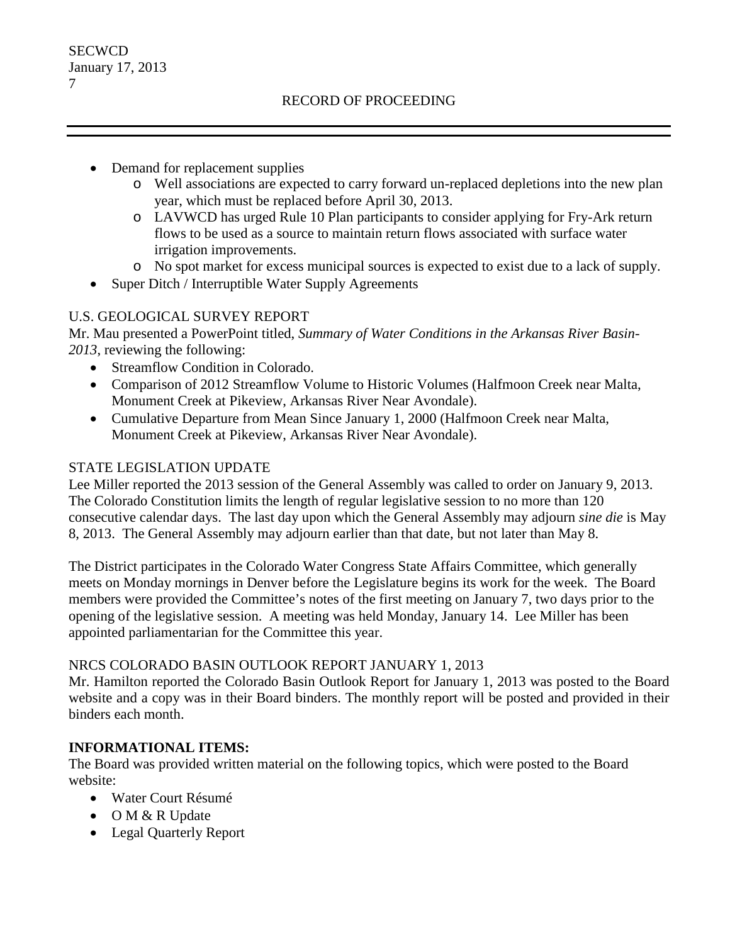- Demand for replacement supplies
	- o Well associations are expected to carry forward un-replaced depletions into the new plan year, which must be replaced before April 30, 2013.
	- o LAVWCD has urged Rule 10 Plan participants to consider applying for Fry-Ark return flows to be used as a source to maintain return flows associated with surface water irrigation improvements.
	- o No spot market for excess municipal sources is expected to exist due to a lack of supply.
- Super Ditch / Interruptible Water Supply Agreements

# U.S. GEOLOGICAL SURVEY REPORT

Mr. Mau presented a PowerPoint titled, *Summary of Water Conditions in the Arkansas River Basin-2013*, reviewing the following:

- Streamflow Condition in Colorado.
- Comparison of 2012 Streamflow Volume to Historic Volumes (Halfmoon Creek near Malta, Monument Creek at Pikeview, Arkansas River Near Avondale).
- Cumulative Departure from Mean Since January 1, 2000 (Halfmoon Creek near Malta, Monument Creek at Pikeview, Arkansas River Near Avondale).

#### STATE LEGISLATION UPDATE

Lee Miller reported the 2013 session of the General Assembly was called to order on January 9, 2013. The Colorado Constitution limits the length of regular legislative session to no more than 120 consecutive calendar days. The last day upon which the General Assembly may adjourn *sine die* is May 8, 2013. The General Assembly may adjourn earlier than that date, but not later than May 8.

The District participates in the Colorado Water Congress State Affairs Committee, which generally meets on Monday mornings in Denver before the Legislature begins its work for the week. The Board members were provided the Committee's notes of the first meeting on January 7, two days prior to the opening of the legislative session. A meeting was held Monday, January 14. Lee Miller has been appointed parliamentarian for the Committee this year.

## NRCS COLORADO BASIN OUTLOOK REPORT JANUARY 1, 2013

Mr. Hamilton reported the Colorado Basin Outlook Report for January 1, 2013 was posted to the Board website and a copy was in their Board binders. The monthly report will be posted and provided in their binders each month.

#### **INFORMATIONAL ITEMS:**

The Board was provided written material on the following topics, which were posted to the Board website:

- Water Court Résumé
- O M & R Update
- Legal Quarterly Report